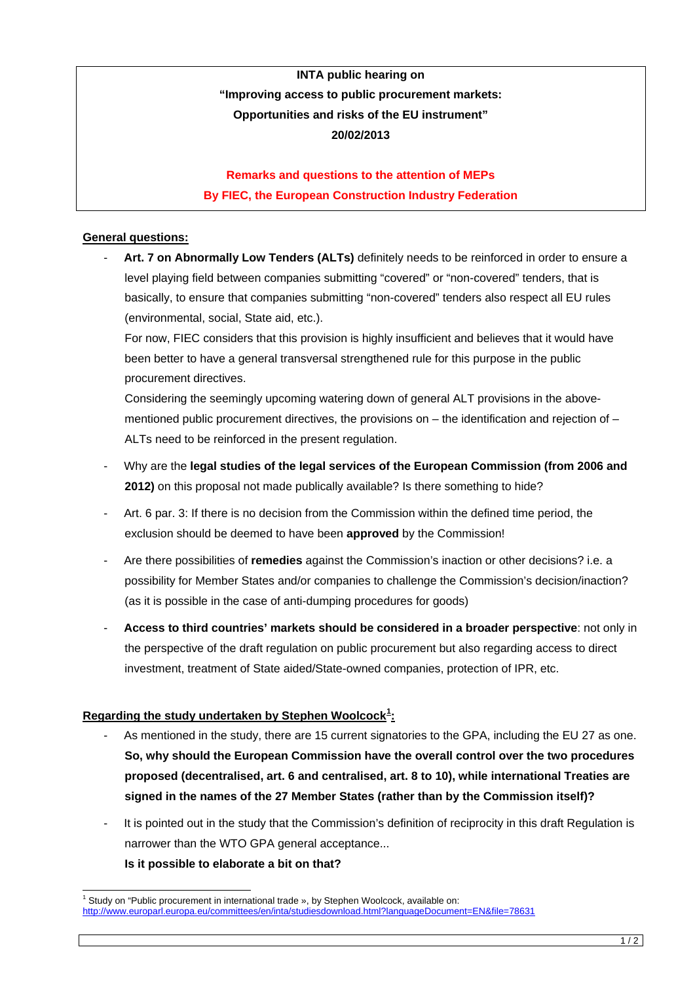# **INTA public hearing on "Improving access to public procurement markets: Opportunities and risks of the EU instrument" 20/02/2013**

## **Remarks and questions to the attention of MEPs By FIEC, the European Construction Industry Federation**

### **General questions:**

- **Art. 7 on Abnormally Low Tenders (ALTs)** definitely needs to be reinforced in order to ensure a level playing field between companies submitting "covered" or "non-covered" tenders, that is basically, to ensure that companies submitting "non-covered" tenders also respect all EU rules (environmental, social, State aid, etc.).

For now, FIEC considers that this provision is highly insufficient and believes that it would have been better to have a general transversal strengthened rule for this purpose in the public procurement directives.

Considering the seemingly upcoming watering down of general ALT provisions in the abovementioned public procurement directives, the provisions on  $-$  the identification and rejection of  $-$ ALTs need to be reinforced in the present regulation.

- Why are the **legal studies of the legal services of the European Commission (from 2006 and 2012)** on this proposal not made publically available? Is there something to hide?
- Art. 6 par. 3: If there is no decision from the Commission within the defined time period, the exclusion should be deemed to have been **approved** by the Commission!
- Are there possibilities of **remedies** against the Commission's inaction or other decisions? i.e. a possibility for Member States and/or companies to challenge the Commission's decision/inaction? (as it is possible in the case of anti-dumping procedures for goods)
- **Access to third countries' markets should be considered in a broader perspective**: not only in the perspective of the draft regulation on public procurement but also regarding access to direct investment, treatment of State aided/State-owned companies, protection of IPR, etc.

### **Regarding the study undertaken by Stephen Woolcock[1](#page-0-0) :**

- As mentioned in the study, there are 15 current signatories to the GPA, including the EU 27 as one. **So, why should the European Commission have the overall control over the two procedures proposed (decentralised, art. 6 and centralised, art. 8 to 10), while international Treaties are signed in the names of the 27 Member States (rather than by the Commission itself)?**
- It is pointed out in the study that the Commission's definition of reciprocity in this draft Regulation is narrower than the WTO GPA general acceptance... **Is it possible to elaborate a bit on that?**

<span id="page-0-0"></span>Study on "Public procurement in international trade », by Stephen Woolcock, available on: <http://www.europarl.europa.eu/committees/en/inta/studiesdownload.html?languageDocument=EN&file=78631>